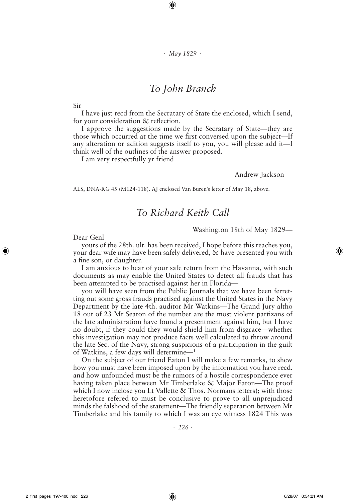## *To Richard Keith Call*

Washington 18th of May 1829—

Dear Genl

 yours of the 28th. ult. has been received, I hope before this reaches you, your dear wife may have been safely delivered, & have presented you with a fine son, or daughter.

 I am anxious to hear of your safe return from the Havanna, with such documents as may enable the United States to detect all frauds that has been attempted to be practised against her in Florida—

 you will have seen from the Public Journals that we have been ferretting out some gross frauds practised against the United States in the Navy Department by the late 4th. auditor Mr Watkins—The Grand Jury altho 18 out of 23 Mr Seaton of the number are the most violent partizans of the late administration have found a presentment against him, but I have no doubt, if they could they would shield him from disgrace—whether this investigation may not produce facts well calculated to throw around the late Sec. of the Navy, strong suspicions of a participation in the guilt of Watkins, a few days will determine—1

 On the subject of our friend Eaton I will make a few remarks, to shew how you must have been imposed upon by the information you have recd. and how unfounded must be the rumors of a hostile correspondence ever having taken place between Mr Timberlake & Major Eaton—The proof which I now inclose you Lt Vallette & Thos. Normans letters); with those heretofore refered to must be conclusive to prove to all unprejudiced minds the falshood of the statement—The friendly seperation between Mr Timberlake and his family to which I was an eye witness 1824 This was

*• 226 •*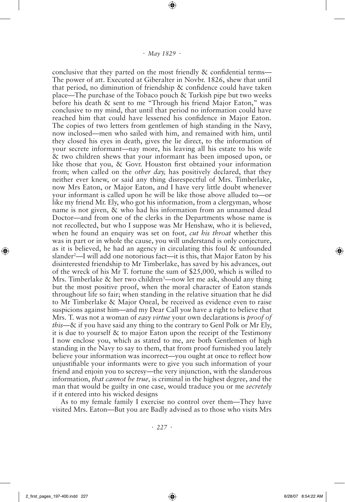conclusive that they parted on the most friendly & confidential terms— The power of att. Executed at Giberalter in Novbr. 1826, shew that until that period, no diminution of friendship & confidence could have taken place—The purchase of the Tobaco pouch & Turkish pipe but two weeks before his death & sent to me "Through his friend Major Eaton," was conclusive to my mind, that until that period no information could have reached him that could have lessened his confidence in Major Eaton. The copies of two letters from gentlemen of high standing in the Navy, now inclosed—men who sailed with him, and remained with him, until they closed his eyes in death, gives the lie direct, to the information of your secrete informant—nay more, his leaving all his estate to his wife & two children shews that your informant has been imposed upon, or like those that you, & Govr. Houston first obtained your information from; when called on the *other day,* has positively declared, that they neither ever knew, or said any thing disrespectful of Mrs. Timberlake, now Mrs Eaton, or Major Eaton, and I have very little doubt whenever your informant is called upon he will be like those above alluded to—or like my friend Mr. Ely, who got his information, from a clergyman, whose name is not given, & who had his information from an unnamed dead Doctor—and from one of the clerks in the Departments whose name is not recollected, but who I suppose was Mr Henshaw, who it is believed, when he found an enquiry was set on foot, *cut his throat* whether this was in part or in whole the cause, you will understand is only conjecture, as it is believed, he had an agency in circulating this foul & unfounded slander<sup>2</sup>—I will add one notorious fact—it is this, that Major Eaton by his disinterested friendship to Mr Timberlake, has saved by his advances, out of the wreck of his Mr T. fortune the sum of \$25,000, which is willed to Mrs. Timberlake  $\&$  her two children<sup>3</sup>—now let me ask, should any thing but the most positive proof, when the moral character of Eaton stands throughout life so fair; when standing in the relative situation that he did to Mr Timberlake & Major Oneal, be received as evidence even to raise suspicions against him—and my Dear Call *you* have a right to believe that Mrs. T. was not a woman of *easy virtue* your own declarations is *proof of this*—& if you have said any thing to the contrary to Genl Polk or Mr Ely, it is due to yourself & to major Eaton upon the receipt of the Testimony I now enclose you, which as stated to me, are both Gentlemen of high standing in the Navy to say to them, that from proof furnished you lately believe your information was incorrect—you ought at once to reflect how unjustifiable your informants were to give you such information of your friend and enjoin you to secresy—the very injunction, with the slanderous information, *that cannot be true,* is criminal in the highest degree, and the man that would be guilty in one case, would traduce you or me *secretely* if it entered into his wicked designs

 As to my female family I exercise no control over them—They have visited Mrs. Eaton—But you are Badly advised as to those who visits Mrs